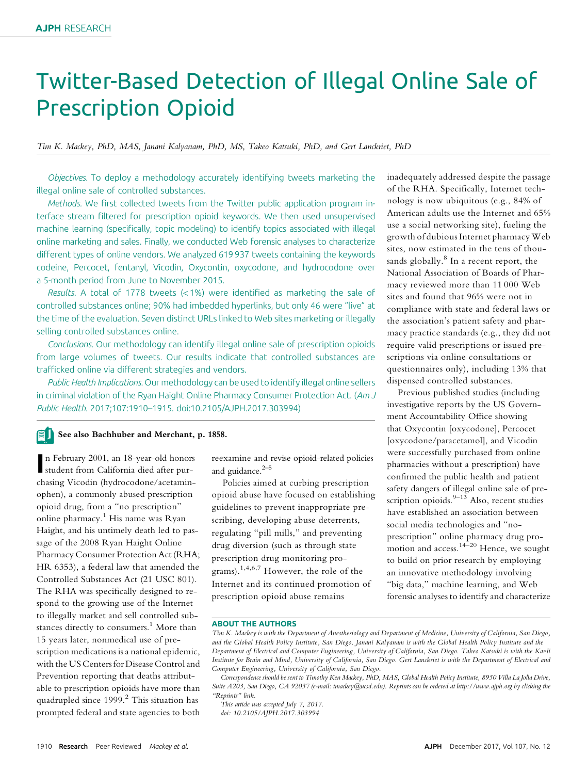# Twitter-Based Detection of Illegal Online Sale of Prescription Opioid

#### Tim K. Mackey, PhD, MAS, Janani Kalyanam, PhD, MS, Takeo Katsuki, PhD, and Gert Lanckriet, PhD

Objectives. To deploy a methodology accurately identifying tweets marketing the illegal online sale of controlled substances.

Methods. We first collected tweets from the Twitter public application program interface stream filtered for prescription opioid keywords. We then used unsupervised machine learning (specifically, topic modeling) to identify topics associated with illegal online marketing and sales. Finally, we conducted Web forensic analyses to characterize different types of online vendors. We analyzed 619 937 tweets containing the keywords codeine, Percocet, fentanyl, Vicodin, Oxycontin, oxycodone, and hydrocodone over a 5-month period from June to November 2015.

Results. A total of 1778 tweets (< 1%) were identified as marketing the sale of controlled substances online; 90% had imbedded hyperlinks, but only 46 were "live" at the time of the evaluation. Seven distinct URLs linked to Web sites marketing or illegally selling controlled substances online.

Conclusions. Our methodology can identify illegal online sale of prescription opioids from large volumes of tweets. Our results indicate that controlled substances are trafficked online via different strategies and vendors.

Public Health Implications. Our methodology can be used to identify illegal online sellers in criminal violation of the Ryan Haight Online Pharmacy Consumer Protection Act. (Am J Public Health. 2017;107:1910–1915. doi:10.2105/AJPH.2017.303994)

#### 阎 See also Bachhuber and Merchant, p. 1858.

n February 2001, an 18-year-old honors<br>student from California died after purn February 2001, an 18-year-old honors chasing Vicodin (hydrocodone/acetaminophen), a commonly abused prescription opioid drug, from a "no prescription" online pharmacy.<sup>1</sup> His name was Ryan Haight, and his untimely death led to passage of the 2008 Ryan Haight Online Pharmacy Consumer Protection Act (RHA; HR 6353), a federal law that amended the Controlled Substances Act (21 USC 801). The RHA was specifically designed to respond to the growing use of the Internet to illegally market and sell controlled substances directly to consumers.<sup>1</sup> More than 15 years later, nonmedical use of prescription medications is a national epidemic, with the US Centers for Disease Control and Prevention reporting that deaths attributable to prescription opioids have more than quadrupled since  $1999.<sup>2</sup>$  This situation has prompted federal and state agencies to both

reexamine and revise opioid-related policies and guidance.<sup>2–5</sup>

Policies aimed at curbing prescription opioid abuse have focused on establishing guidelines to prevent inappropriate prescribing, developing abuse deterrents, regulating "pill mills," and preventing drug diversion (such as through state prescription drug monitoring programs).1,4,6,7 However, the role of the Internet and its continued promotion of prescription opioid abuse remains

inadequately addressed despite the passage of the RHA. Specifically, Internet technology is now ubiquitous (e.g., 84% of American adults use the Internet and 65% use a social networking site), fueling the growth of dubious Internet pharmacyWeb sites, now estimated in the tens of thousands globally. $8 \text{ In a recent report, the}$ National Association of Boards of Pharmacy reviewed more than 11 000 Web sites and found that 96% were not in compliance with state and federal laws or the association's patient safety and pharmacy practice standards (e.g., they did not require valid prescriptions or issued prescriptions via online consultations or questionnaires only), including 13% that dispensed controlled substances.

Previous published studies (including investigative reports by the US Government Accountability Office showing that Oxycontin [oxycodone], Percocet [oxycodone/paracetamol], and Vicodin were successfully purchased from online pharmacies without a prescription) have confirmed the public health and patient safety dangers of illegal online sale of prescription opioids. $9-13$  Also, recent studies have established an association between social media technologies and "noprescription" online pharmacy drug promotion and access.<sup>14–20</sup> Hence, we sought to build on prior research by employing an innovative methodology involving "big data," machine learning, and Web forensic analyses to identify and characterize

#### ABOUT THE AUTHORS

This article was accepted July 7, 2017. doi: 10.2105/AJPH.2017.303994

Tim K. Mackey is with the Department of Anesthesiology and Department of Medicine, University of California, San Diego, and the Global Health Policy Institute, San Diego. Janani Kalyanam is with the Global Health Policy Institute and the Department of Electrical and Computer Engineering, University of California, San Diego. Takeo Katsuki is with the Kavli Institute for Brain and Mind, University of California, San Diego. Gert Lanckriet is with the Department of Electrical and Computer Engineering, University of California, San Diego.

Correspondence should be sent to Timothy Ken Mackey, PhD, MAS, Global Health Policy Institute, 8950 Villa La Jolla Drive, Suite A203, San Diego, CA 92037 (e-mail: [tmackey@ucsd.edu](mailto:tmackey@ucsd.edu)). Reprints can be ordered at<http://www.ajph.org> by clicking the "Reprints" link.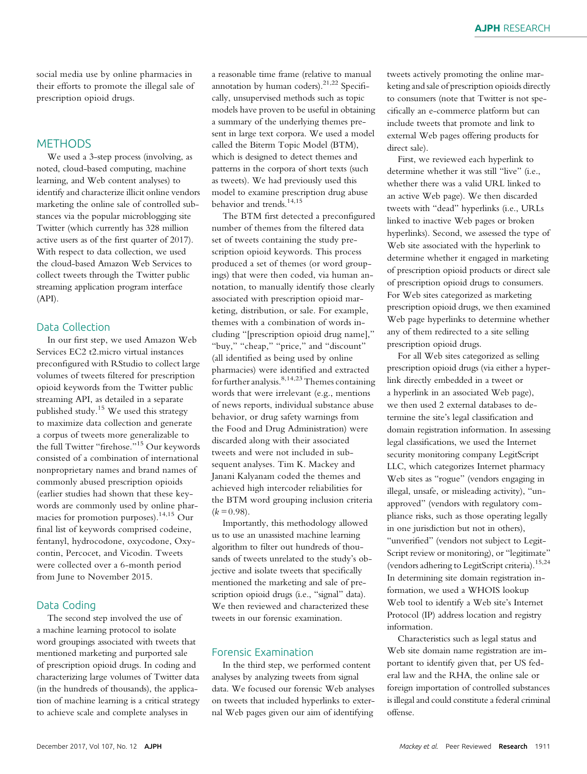social media use by online pharmacies in their efforts to promote the illegal sale of prescription opioid drugs.

#### METHODS

We used a 3-step process (involving, as noted, cloud-based computing, machine learning, and Web content analyses) to identify and characterize illicit online vendors marketing the online sale of controlled substances via the popular microblogging site Twitter (which currently has 328 million active users as of the first quarter of 2017). With respect to data collection, we used the cloud-based Amazon Web Services to collect tweets through the Twitter public streaming application program interface (API).

## Data Collection

In our first step, we used Amazon Web Services EC2 t2.micro virtual instances preconfigured with RStudio to collect large volumes of tweets filtered for prescription opioid keywords from the Twitter public streaming API, as detailed in a separate published study.<sup>15</sup> We used this strategy to maximize data collection and generate a corpus of tweets more generalizable to the full Twitter "firehose."<sup>15</sup> Our keywords consisted of a combination of international nonproprietary names and brand names of commonly abused prescription opioids (earlier studies had shown that these keywords are commonly used by online pharmacies for promotion purposes).14,15 Our final list of keywords comprised codeine, fentanyl, hydrocodone, oxycodone, Oxycontin, Percocet, and Vicodin. Tweets were collected over a 6-month period from June to November 2015.

## Data Coding

The second step involved the use of a machine learning protocol to isolate word groupings associated with tweets that mentioned marketing and purported sale of prescription opioid drugs. In coding and characterizing large volumes of Twitter data (in the hundreds of thousands), the application of machine learning is a critical strategy to achieve scale and complete analyses in

a reasonable time frame (relative to manual annotation by human coders).<sup>21,22</sup> Specifically, unsupervised methods such as topic models have proven to be useful in obtaining a summary of the underlying themes present in large text corpora. We used a model called the Biterm Topic Model (BTM), which is designed to detect themes and patterns in the corpora of short texts (such as tweets). We had previously used this model to examine prescription drug abuse behavior and trends.<sup>14,15</sup>

The BTM first detected a preconfigured number of themes from the filtered data set of tweets containing the study prescription opioid keywords. This process produced a set of themes (or word groupings) that were then coded, via human annotation, to manually identify those clearly associated with prescription opioid marketing, distribution, or sale. For example, themes with a combination of words including "[prescription opioid drug name]," "buy," "cheap," "price," and "discount" (all identified as being used by online pharmacies) were identified and extracted for further analysis.  $8,14,23$  Themes containing words that were irrelevant (e.g., mentions of news reports, individual substance abuse behavior, or drug safety warnings from the Food and Drug Administration) were discarded along with their associated tweets and were not included in subsequent analyses. Tim K. Mackey and Janani Kalyanam coded the themes and achieved high intercoder reliabilities for the BTM word grouping inclusion criteria  $(k = 0.98)$ .

Importantly, this methodology allowed us to use an unassisted machine learning algorithm to filter out hundreds of thousands of tweets unrelated to the study's objective and isolate tweets that specifically mentioned the marketing and sale of prescription opioid drugs (i.e., "signal" data). We then reviewed and characterized these tweets in our forensic examination.

#### Forensic Examination

In the third step, we performed content analyses by analyzing tweets from signal data. We focused our forensic Web analyses on tweets that included hyperlinks to external Web pages given our aim of identifying

tweets actively promoting the online marketing and sale of prescription opioids directly to consumers (note that Twitter is not specifically an e-commerce platform but can include tweets that promote and link to external Web pages offering products for direct sale).

First, we reviewed each hyperlink to determine whether it was still "live" (i.e., whether there was a valid URL linked to an active Web page). We then discarded tweets with "dead" hyperlinks (i.e., URLs linked to inactive Web pages or broken hyperlinks). Second, we assessed the type of Web site associated with the hyperlink to determine whether it engaged in marketing of prescription opioid products or direct sale of prescription opioid drugs to consumers. For Web sites categorized as marketing prescription opioid drugs, we then examined Web page hyperlinks to determine whether any of them redirected to a site selling prescription opioid drugs.

For all Web sites categorized as selling prescription opioid drugs (via either a hyperlink directly embedded in a tweet or a hyperlink in an associated Web page), we then used 2 external databases to determine the site's legal classification and domain registration information. In assessing legal classifications, we used the Internet security monitoring company LegitScript LLC, which categorizes Internet pharmacy Web sites as "rogue" (vendors engaging in illegal, unsafe, or misleading activity), "unapproved" (vendors with regulatory compliance risks, such as those operating legally in one jurisdiction but not in others), "unverified" (vendors not subject to Legit-Script review or monitoring), or "legitimate" (vendors adhering to LegitScript criteria).<sup>15,24</sup> In determining site domain registration information, we used a WHOIS lookup Web tool to identify a Web site's Internet Protocol (IP) address location and registry information.

Characteristics such as legal status and Web site domain name registration are important to identify given that, per US federal law and the RHA, the online sale or foreign importation of controlled substances is illegal and could constitute a federal criminal offense.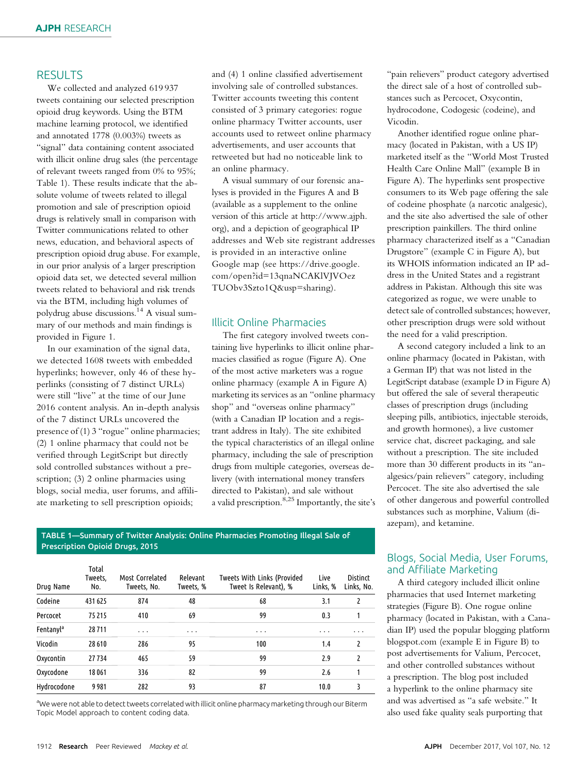## **RESULTS**

We collected and analyzed 619 937 tweets containing our selected prescription opioid drug keywords. Using the BTM machine learning protocol, we identified and annotated 1778 (0.003%) tweets as "signal" data containing content associated with illicit online drug sales (the percentage of relevant tweets ranged from 0% to 95%; Table 1). These results indicate that the absolute volume of tweets related to illegal promotion and sale of prescription opioid drugs is relatively small in comparison with Twitter communications related to other news, education, and behavioral aspects of prescription opioid drug abuse. For example, in our prior analysis of a larger prescription opioid data set, we detected several million tweets related to behavioral and risk trends via the BTM, including high volumes of polydrug abuse discussions.<sup>14</sup> A visual summary of our methods and main findings is provided in Figure 1.

In our examination of the signal data, we detected 1608 tweets with embedded hyperlinks; however, only 46 of these hyperlinks (consisting of 7 distinct URLs) were still "live" at the time of our June 2016 content analysis. An in-depth analysis of the 7 distinct URLs uncovered the presence of (1) 3 "rogue" online pharmacies; (2) 1 online pharmacy that could not be verified through LegitScript but directly sold controlled substances without a prescription; (3) 2 online pharmacies using blogs, social media, user forums, and affiliate marketing to sell prescription opioids;

and (4) 1 online classified advertisement involving sale of controlled substances. Twitter accounts tweeting this content consisted of 3 primary categories: rogue online pharmacy Twitter accounts, user accounts used to retweet online pharmacy advertisements, and user accounts that retweeted but had no noticeable link to an online pharmacy.

A visual summary of our forensic analyses is provided in the Figures A and B (available as a supplement to the online version of this article at [http://www.ajph.](http://www.ajph.org) [org\)](http://www.ajph.org), and a depiction of geographical IP addresses and Web site registrant addresses is provided in an interactive online Google map (see [https://drive.google.](https://drive.google.com/open?id=13qnaNCAKlVJVOezTUObv3Szto1Q&usp=sharing) [com/open?id=13qnaNCAKlVJVOez](https://drive.google.com/open?id=13qnaNCAKlVJVOezTUObv3Szto1Q&usp=sharing) [TUObv3Szto1Q&usp=sharing\)](https://drive.google.com/open?id=13qnaNCAKlVJVOezTUObv3Szto1Q&usp=sharing).

#### Illicit Online Pharmacies

The first category involved tweets containing live hyperlinks to illicit online pharmacies classified as rogue (Figure A). One of the most active marketers was a rogue online pharmacy (example A in Figure A) marketing its services as an "online pharmacy shop" and "overseas online pharmacy" (with a Canadian IP location and a registrant address in Italy). The site exhibited the typical characteristics of an illegal online pharmacy, including the sale of prescription drugs from multiple categories, overseas delivery (with international money transfers directed to Pakistan), and sale without a valid prescription.8,25 Importantly, the site's

TABLE 1—Summary of Twitter Analysis: Online Pharmacies Promoting Illegal Sale of Prescription Opioid Drugs, 2015

| Drug Name             | Total<br>Tweets.<br>No. | Most Correlated<br>Tweets, No. | Relevant<br>Tweets, %   | Tweets With Links (Provided<br>Tweet Is Relevant), % | Live<br>Links, %        | <b>Distinct</b><br>Links, No. |
|-----------------------|-------------------------|--------------------------------|-------------------------|------------------------------------------------------|-------------------------|-------------------------------|
| Codeine               | 431 625                 | 874                            | 48                      | 68                                                   | 3.1                     | 2                             |
| Percocet              | 75 215                  | 410                            | 69                      | 99                                                   | 0.3                     |                               |
| Fentanyl <sup>a</sup> | 28711                   | $\cdots$                       | $\cdot$ $\cdot$ $\cdot$ | $\cdots$                                             | $\cdot$ $\cdot$ $\cdot$ | .                             |
| Vicodin               | 28 610                  | 286                            | 95                      | 100                                                  | 1.4                     | 2                             |
| Oxycontin             | 27734                   | 465                            | 59                      | 99                                                   | 2.9                     | 2                             |
| Oxycodone             | 18061                   | 336                            | 82                      | 99                                                   | 2.6                     |                               |
| Hydrocodone           | 9981                    | 282                            | 93                      | 87                                                   | 10.0                    | 3                             |

<sup>a</sup>We were not able to detect tweets correlated with illicit online pharmacy marketing through our Biterm Topic Model approach to content coding data.

"pain relievers" product category advertised the direct sale of a host of controlled substances such as Percocet, Oxycontin, hydrocodone, Codogesic (codeine), and Vicodin.

Another identified rogue online pharmacy (located in Pakistan, with a US IP) marketed itself as the "World Most Trusted Health Care Online Mall" (example B in Figure A). The hyperlinks sent prospective consumers to its Web page offering the sale of codeine phosphate (a narcotic analgesic), and the site also advertised the sale of other prescription painkillers. The third online pharmacy characterized itself as a "Canadian Drugstore" (example C in Figure A), but its WHOIS information indicated an IP address in the United States and a registrant address in Pakistan. Although this site was categorized as rogue, we were unable to detect sale of controlled substances; however, other prescription drugs were sold without the need for a valid prescription.

A second category included a link to an online pharmacy (located in Pakistan, with a German IP) that was not listed in the LegitScript database (example D in Figure A) but offered the sale of several therapeutic classes of prescription drugs (including sleeping pills, antibiotics, injectable steroids, and growth hormones), a live customer service chat, discreet packaging, and sale without a prescription. The site included more than 30 different products in its "analgesics/pain relievers" category, including Percocet. The site also advertised the sale of other dangerous and powerful controlled substances such as morphine, Valium (diazepam), and ketamine.

## Blogs, Social Media, User Forums, and Affiliate Marketing

A third category included illicit online pharmacies that used Internet marketing strategies (Figure B). One rogue online pharmacy (located in Pakistan, with a Canadian IP) used the popular blogging platform [blogspot.com](http://blogspot.com) (example E in Figure B) to post advertisements for Valium, Percocet, and other controlled substances without a prescription. The blog post included a hyperlink to the online pharmacy site and was advertised as "a safe website." It also used fake quality seals purporting that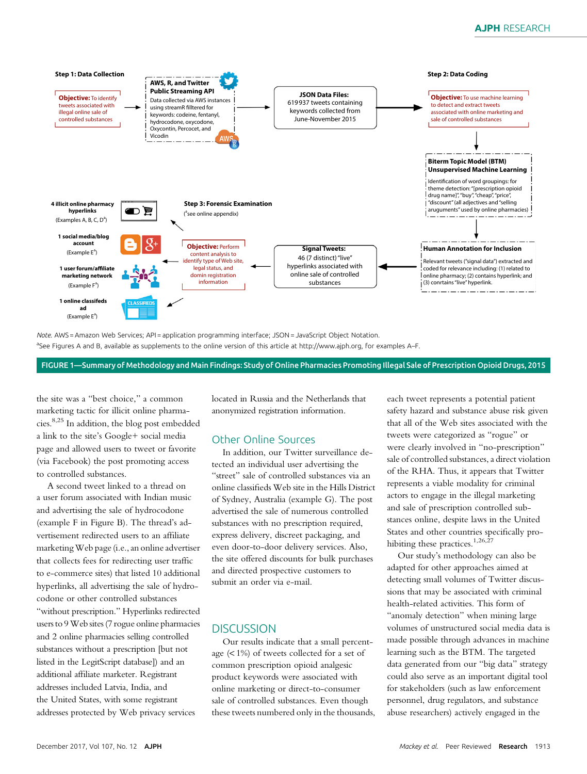#### **AJPH RESEARCH**



Note. AWS = Amazon Web Services; API = application programming interface; JSON = JavaScript Object Notation. aSee Figures A and B, available as supplements to the online version of this article at [http://www.ajph.org,](http://www.ajph.org) for examples A–F.

FIGURE 1—Summary of Methodology and Main Findings: Study of Online Pharmacies Promoting Illegal Sale of Prescription Opioid Drugs, 2015

the site was a "best choice," a common marketing tactic for illicit online pharmacies.8,25 In addition, the blog post embedded a link to the site's Google+ social media page and allowed users to tweet or favorite (via Facebook) the post promoting access to controlled substances.

A second tweet linked to a thread on a user forum associated with Indian music and advertising the sale of hydrocodone (example F in Figure B). The thread's advertisement redirected users to an affiliate marketingWeb page (i.e., an online advertiser that collects fees for redirecting user traffic to e-commerce sites) that listed 10 additional hyperlinks, all advertising the sale of hydrocodone or other controlled substances "without prescription." Hyperlinks redirected users to 9Web sites (7 rogue online pharmacies and 2 online pharmacies selling controlled substances without a prescription [but not listed in the LegitScript database]) and an additional affiliate marketer. Registrant addresses included Latvia, India, and the United States, with some registrant addresses protected by Web privacy services

located in Russia and the Netherlands that anonymized registration information.

## Other Online Sources

In addition, our Twitter surveillance detected an individual user advertising the "street" sale of controlled substances via an online classifieds Web site in the Hills District of Sydney, Australia (example G). The post advertised the sale of numerous controlled substances with no prescription required, express delivery, discreet packaging, and even door-to-door delivery services. Also, the site offered discounts for bulk purchases and directed prospective customers to submit an order via e-mail.

## **DISCUSSION**

Our results indicate that a small percentage  $($  < 1%) of tweets collected for a set of common prescription opioid analgesic product keywords were associated with online marketing or direct-to-consumer sale of controlled substances. Even though these tweets numbered only in the thousands,

each tweet represents a potential patient safety hazard and substance abuse risk given that all of the Web sites associated with the tweets were categorized as "rogue" or were clearly involved in "no-prescription" sale of controlled substances, a direct violation of the RHA. Thus, it appears that Twitter represents a viable modality for criminal actors to engage in the illegal marketing and sale of prescription controlled substances online, despite laws in the United States and other countries specifically prohibiting these practices. $1,26,27$ 

Our study's methodology can also be adapted for other approaches aimed at detecting small volumes of Twitter discussions that may be associated with criminal health-related activities. This form of "anomaly detection" when mining large volumes of unstructured social media data is made possible through advances in machine learning such as the BTM. The targeted data generated from our "big data" strategy could also serve as an important digital tool for stakeholders (such as law enforcement personnel, drug regulators, and substance abuse researchers) actively engaged in the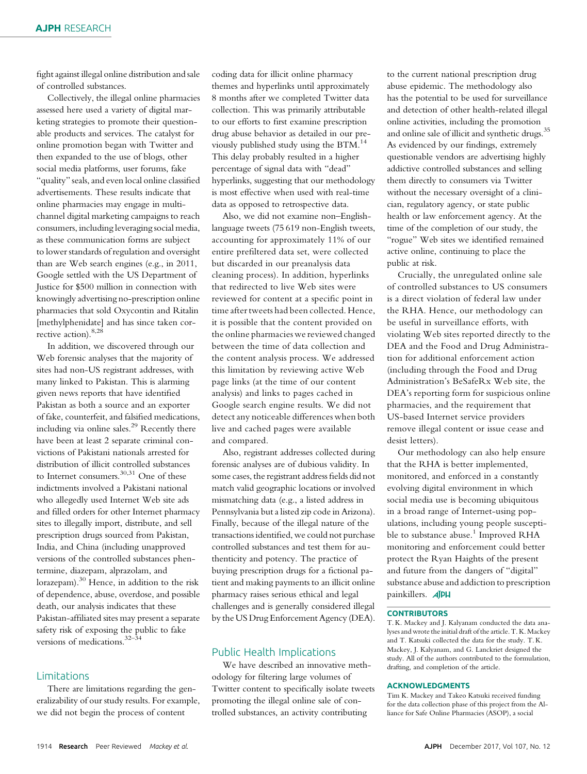fight against illegal online distribution and sale of controlled substances.

Collectively, the illegal online pharmacies assessed here used a variety of digital marketing strategies to promote their questionable products and services. The catalyst for online promotion began with Twitter and then expanded to the use of blogs, other social media platforms, user forums, fake "quality" seals, and even local online classified advertisements. These results indicate that online pharmacies may engage in multichannel digital marketing campaigns to reach consumers, including leveraging social media, as these communication forms are subject to lower standards of regulation and oversight than are Web search engines (e.g., in 2011, Google settled with the US Department of Justice for \$500 million in connection with knowingly advertising no-prescription online pharmacies that sold Oxycontin and Ritalin [methylphenidate] and has since taken corrective action). 8,28

In addition, we discovered through our Web forensic analyses that the majority of sites had non-US registrant addresses, with many linked to Pakistan. This is alarming given news reports that have identified Pakistan as both a source and an exporter of fake, counterfeit, and falsified medications, including via online sales.<sup>29</sup> Recently there have been at least 2 separate criminal convictions of Pakistani nationals arrested for distribution of illicit controlled substances to Internet consumers.<sup>30,31</sup> One of these indictments involved a Pakistani national who allegedly used Internet Web site ads and filled orders for other Internet pharmacy sites to illegally import, distribute, and sell prescription drugs sourced from Pakistan, India, and China (including unapproved versions of the controlled substances phentermine, diazepam, alprazolam, and lorazepam).<sup>30</sup> Hence, in addition to the risk of dependence, abuse, overdose, and possible death, our analysis indicates that these Pakistan-affiliated sites may present a separate safety risk of exposing the public to fake versions of medications.32–<sup>34</sup>

## Limitations

There are limitations regarding the generalizability of our study results. For example, we did not begin the process of content

coding data for illicit online pharmacy themes and hyperlinks until approximately 8 months after we completed Twitter data collection. This was primarily attributable to our efforts to first examine prescription drug abuse behavior as detailed in our previously published study using the BTM.<sup>14</sup> This delay probably resulted in a higher percentage of signal data with "dead" hyperlinks, suggesting that our methodology is most effective when used with real-time data as opposed to retrospective data.

Also, we did not examine non–Englishlanguage tweets (75 619 non-English tweets, accounting for approximately 11% of our entire prefiltered data set, were collected but discarded in our preanalysis data cleaning process). In addition, hyperlinks that redirected to live Web sites were reviewed for content at a specific point in time after tweets had been collected. Hence, it is possible that the content provided on the online pharmacies we reviewed changed between the time of data collection and the content analysis process. We addressed this limitation by reviewing active Web page links (at the time of our content analysis) and links to pages cached in Google search engine results. We did not detect any noticeable differences when both live and cached pages were available and compared.

Also, registrant addresses collected during forensic analyses are of dubious validity. In some cases, the registrant address fields did not match valid geographic locations or involved mismatching data (e.g., a listed address in Pennsylvania but a listed zip code in Arizona). Finally, because of the illegal nature of the transactions identified, we could not purchase controlled substances and test them for authenticity and potency. The practice of buying prescription drugs for a fictional patient and making payments to an illicit online pharmacy raises serious ethical and legal challenges and is generally considered illegal by the US Drug Enforcement Agency (DEA).

#### Public Health Implications

We have described an innovative methodology for filtering large volumes of Twitter content to specifically isolate tweets promoting the illegal online sale of controlled substances, an activity contributing

to the current national prescription drug abuse epidemic. The methodology also has the potential to be used for surveillance and detection of other health-related illegal online activities, including the promotion and online sale of illicit and synthetic drugs.<sup>35</sup> As evidenced by our findings, extremely questionable vendors are advertising highly addictive controlled substances and selling them directly to consumers via Twitter without the necessary oversight of a clinician, regulatory agency, or state public health or law enforcement agency. At the time of the completion of our study, the "rogue" Web sites we identified remained active online, continuing to place the public at risk.

Crucially, the unregulated online sale of controlled substances to US consumers is a direct violation of federal law under the RHA. Hence, our methodology can be useful in surveillance efforts, with violating Web sites reported directly to the DEA and the Food and Drug Administration for additional enforcement action (including through the Food and Drug Administration's BeSafeRx Web site, the DEA's reporting form for suspicious online pharmacies, and the requirement that US-based Internet service providers remove illegal content or issue cease and desist letters).

Our methodology can also help ensure that the RHA is better implemented, monitored, and enforced in a constantly evolving digital environment in which social media use is becoming ubiquitous in a broad range of Internet-using populations, including young people susceptible to substance abuse.<sup>1</sup> Improved RHA monitoring and enforcement could better protect the Ryan Haights of the present and future from the dangers of "digital" substance abuse and addiction to prescription painkillers. **AJPH** 

#### **CONTRIBUTORS**

T. K. Mackey and J. Kalyanam conducted the data analyses and wrote the initial draft of the article. T. K. Mackey and T. Katsuki collected the data for the study. T. K. Mackey, J. Kalyanam, and G. Lanckriet designed the study. All of the authors contributed to the formulation, drafting, and completion of the article.

#### ACKNOWLEDGMENTS

Tim K. Mackey and Takeo Katsuki received funding for the data collection phase of this project from the Alliance for Safe Online Pharmacies (ASOP), a social